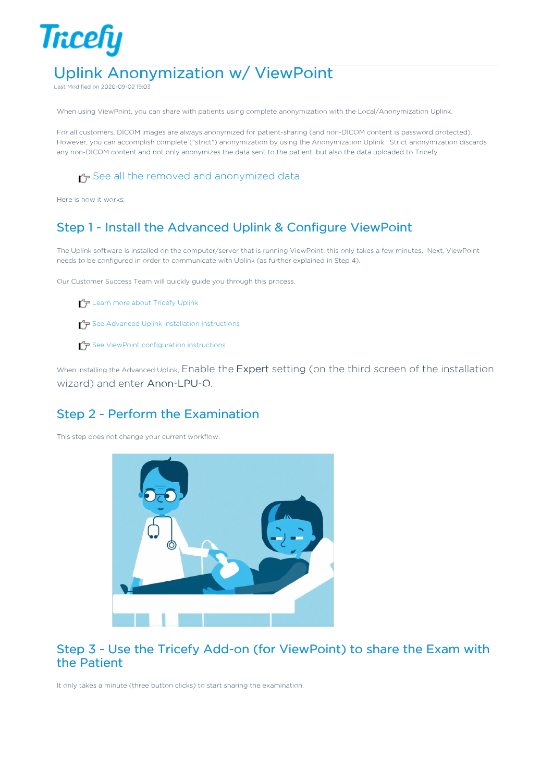# Uplink Anonymization w/ ViewPoint

Last Modified on 2020-09-02 19:03

**Tricefy** 

When using ViewPoint, you can share with patients using complete anonymization with the Local/Anonymization Uplink.

For all customers, DICOM images are always anonymized for patient-sharing (and non-DICOM content is password protected). However, you can accomplish complete ("strict") anonymization by using the Anonymization Uplink. Strict anonymization discards any non-DICOM content and not only anonymizes the data sent to the patient, but also the data uploaded to Tricefy.

See all the removed and anonymized data

Here is how it works:

### Step 1 - Install the Advanced Uplink & Configure ViewPoint

The Uplink software is installed on the computer/server that is running ViewPoint; this only takes a few minutes. Next, ViewPoint needs to be configured in order to communicate with Uplink (as further explained in Step 4).

Our Customer Success Team will quickly guide you through this process.

 $\mathcal{L}_{\mathcal{F}}$  Learn more about Tricefy Uplink

 $\Gamma$  See Advanced Uplink installation instructions

 $\mathcal{T}_\mathbf{\mathcal{F}}$  See ViewPoint configuration instructions

When installing the Advanced Uplink, Enable the Expert setting (on the third screen of the installation wizard) and enter Anon-LPU-O.

#### Step 2 - Perform the Examination

This step does not change your current workflow.



#### Step 3 - Use the Tricefy Add-on (for ViewPoint) to share the Exam with the Patient

It only takes a minute (three button clicks) to start sharing the examination.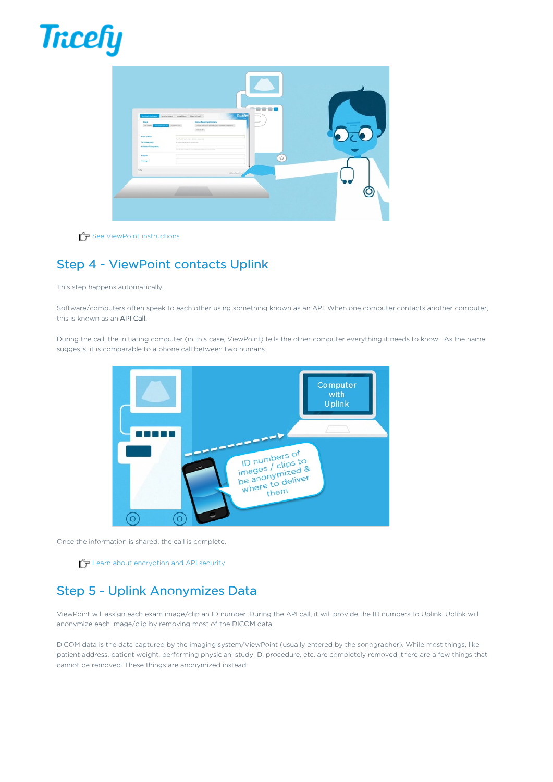



See ViewPoint instructions

# Step 4 - ViewPoint contacts Uplink

This step happens automatically.

Software/computers often speak to each other using something known as an API. When one computer contacts another computer, this is known as an API Call.

During the call, the initiating computer (in this case, ViewPoint) tells the other computer everything it needs to know. As the name suggests, it is comparable to a phone call between two humans.



Once the information is shared, the call is complete.

 $\mathcal{L}_{\mathcal{F}}$  Learn about encryption and API security

## Step 5 - Uplink Anonymizes Data

ViewPoint will assign each exam image/clip an ID number. During the API call, it will provide the ID numbers to Uplink. Uplink will anonymize each image/clip by removing most of the DICOM data.

DICOM data is the data captured by the imaging system/ViewPoint (usually entered by the sonographer). While most things, like patient address, patient weight, performing physician, study ID, procedure, etc. are completely removed, there are a few things that cannot be removed. These things are anonymized instead: